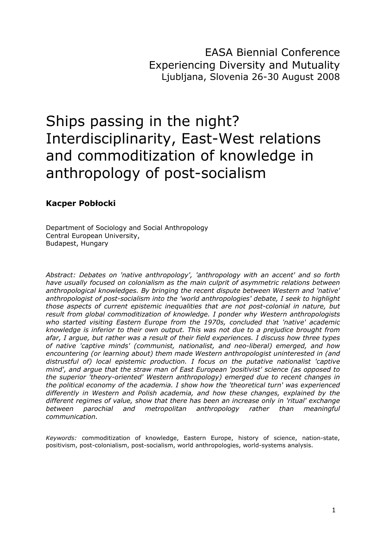# Ships passing in the night? Interdisciplinarity, East-West relations and commoditization of knowledge in anthropology of post-socialism

#### **Kacper Pobłocki**

Department of Sociology and Social Anthropology Central European University, Budapest, Hungary

*Abstract: Debates on 'native anthropology', 'anthropology with an accent' and so forth have usually focused on colonialism as the main culprit of asymmetric relations between anthropological knowledges. By bringing the recent dispute between Western and 'native' anthropologist of post-socialism into the 'world anthropologies' debate, I seek to highlight those aspects of current epistemic inequalities that are not post-colonial in nature, but result from global commoditization of knowledge. I ponder why Western anthropologists who started visiting Eastern Europe from the 1970s, concluded that 'native' academic knowledge is inferior to their own output. This was not due to a prejudice brought from afar, I argue, but rather was a result of their field experiences. I discuss how three types of native 'captive minds' (communist, nationalist, and neo-liberal) emerged, and how encountering (or learning about) them made Western anthropologist uninterested in (and distrustful of) local epistemic production. I focus on the putative nationalist 'captive mind', and argue that the straw man of East European 'positivist' science (as opposed to the superior 'theory-oriented' Western anthropology) emerged due to recent changes in the political economy of the academia. I show how the 'theoretical turn' was experienced differently in Western and Polish academia, and how these changes, explained by the different regimes of value, show that there has been an increase only in 'ritual' exchange between parochial and metropolitan anthropology rather than meaningful communication.* 

*Keywords:* commoditization of knowledge, Eastern Europe, history of science, nation-state, positivism, post-colonialism, post-socialism, world anthropologies, world-systems analysis.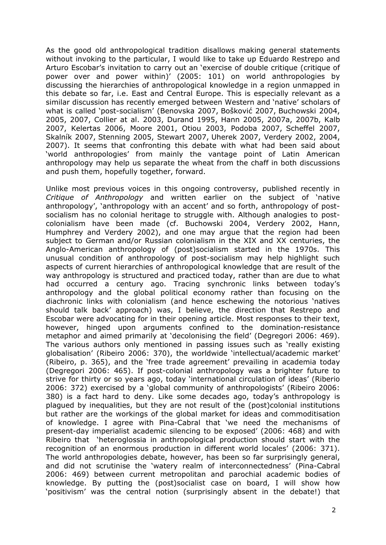As the good old anthropological tradition disallows making general statements without invoking to the particular, I would like to take up Eduardo Restrepo and Arturo Escobar's invitation to carry out an 'exercise of double critique (critique of power over and power within)' (2005: 101) on world anthropologies by discussing the hierarchies of anthropological knowledge in a region unmapped in this debate so far, i.e. East and Central Europe. This is especially relevant as a similar discussion has recently emerged between Western and 'native' scholars of what is called 'post-socialism' (Benovska 2007, Bošković 2007, Buchowski 2004, 2005, 2007, Collier at al. 2003, Durand 1995, Hann 2005, 2007a, 2007b, Kalb 2007, Kelertas 2006, Moore 2001, Otiou 2003, Podoba 2007, Scheffel 2007, Skalník 2007, Stenning 2005, Stewart 2007, Uherek 2007, Verdery 2002, 2004, 2007). It seems that confronting this debate with what had been said about 'world anthropologies' from mainly the vantage point of Latin American anthropology may help us separate the wheat from the chaff in both discussions and push them, hopefully together, forward.

Unlike most previous voices in this ongoing controversy, published recently in *Critique of Anthropology* and written earlier on the subject of 'native anthropology', 'anthropology with an accent' and so forth, anthropology of postsocialism has no colonial heritage to struggle with. Although analogies to postcolonialism have been made (cf. Buchowski 2004, Verdery 2002, Hann, Humphrey and Verdery 2002), and one may argue that the region had been subject to German and/or Russian colonialism in the XIX and XX centuries, the Anglo-American anthropology of (post)socialism started in the 1970s. This unusual condition of anthropology of post-socialism may help highlight such aspects of current hierarchies of anthropological knowledge that are result of the way anthropology is structured and practiced today, rather than are due to what had occurred a century ago. Tracing synchronic links between today's anthropology and the global political economy rather than focusing on the diachronic links with colonialism (and hence eschewing the notorious 'natives should talk back' approach) was, I believe, the direction that Restrepo and Escobar were advocating for in their opening article. Most responses to their text, however, hinged upon arguments confined to the domination-resistance metaphor and aimed primarily at 'decolonising the field' (Degregori 2006: 469). The various authors only mentioned in passing issues such as 'really existing globalisation' (Ribeiro 2006: 370), the worldwide 'intellectual/academic market' (Ribeiro, p. 365), and the 'free trade agreement' prevailing in academia today (Degregori 2006: 465). If post-colonial anthropology was a brighter future to strive for thirty or so years ago, today 'international circulation of ideas' (Riberio 2006: 372) exercised by a 'global community of anthropologists' (Ribeiro 2006: 380) is a fact hard to deny. Like some decades ago, today's anthropology is plagued by inequalities, but they are not result of the (post)colonial institutions but rather are the workings of the global market for ideas and commoditisation of knowledge. I agree with Pina-Cabral that 'we need the mechanisms of present-day imperialist academic silencing to be exposed' (2006: 468) and with Ribeiro that 'heteroglossia in anthropological production should start with the recognition of an enormous production in different world locales' (2006: 371). The world anthropologies debate, however, has been so far surprisingly general, and did not scrutinise the 'watery realm of interconnectedness' (Pina-Cabral 2006: 469) between current metropolitan and parochial academic bodies of knowledge. By putting the (post)socialist case on board, I will show how 'positivism' was the central notion (surprisingly absent in the debate!) that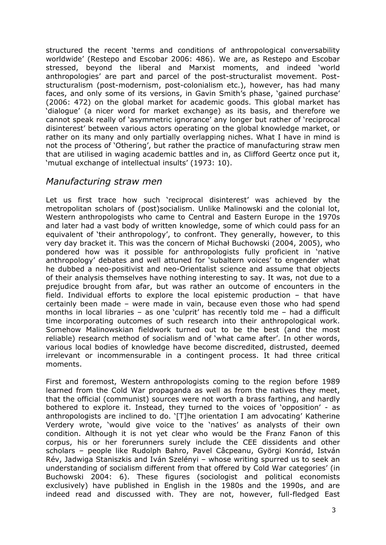structured the recent 'terms and conditions of anthropological conversability worldwide' (Restepo and Escobar 2006: 486). We are, as Restepo and Escobar stressed, beyond the liberal and Marxist moments, and indeed 'world anthropologies' are part and parcel of the post-structuralist movement. Poststructuralism (post-modernism, post-colonialism etc.), however, has had many faces, and only some of its versions, in Gavin Smith's phase, 'gained purchase' (2006: 472) on the global market for academic goods. This global market has 'dialogue' (a nicer word for market exchange) as its basis, and therefore we cannot speak really of 'asymmetric ignorance' any longer but rather of 'reciprocal disinterest' between various actors operating on the global knowledge market, or rather on its many and only partially overlapping niches. What I have in mind is not the process of 'Othering', but rather the practice of manufacturing straw men that are utilised in waging academic battles and in, as Clifford Geertz once put it, 'mutual exchange of intellectual insults' (1973: 10).

#### *Manufacturing straw men*

Let us first trace how such 'reciprocal disinterest' was achieved by the metropolitan scholars of (post)socialism. Unlike Malinowski and the colonial lot, Western anthropologists who came to Central and Eastern Europe in the 1970s and later had a vast body of written knowledge, some of which could pass for an equivalent of 'their anthropology', to confront. They generally, however, to this very day bracket it. This was the concern of Michał Buchowski (2004, 2005), who pondered how was it possible for anthropologists fully proficient in 'native anthropology' debates and well attuned for 'subaltern voices' to engender what he dubbed a neo-positivist and neo-Orientalist science and assume that objects of their analysis themselves have nothing interesting to say. It was, not due to a prejudice brought from afar, but was rather an outcome of encounters in the field. Individual efforts to explore the local epistemic production – that have certainly been made – were made in vain, because even those who had spend months in local libraries – as one 'culprit' has recently told me – had a difficult time incorporating outcomes of such research into their anthropological work. Somehow Malinowskian fieldwork turned out to be the best (and the most reliable) research method of socialism and of 'what came after'. In other words, various local bodies of knowledge have become discredited, distrusted, deemed irrelevant or incommensurable in a contingent process. It had three critical moments.

First and foremost, Western anthropologists coming to the region before 1989 learned from the Cold War propaganda as well as from the natives they meet, that the official (communist) sources were not worth a brass farthing, and hardly bothered to explore it. Instead, they turned to the voices of 'opposition' - as anthropologists are inclined to do. '[T]he orientation I am advocating' Katherine Verdery wrote, 'would give voice to the 'natives' as analysts of their own condition. Although it is not yet clear who would be the Franz Fanon of this corpus, his or her forerunners surely include the CEE dissidents and other scholars – people like Rudolph Bahro, Pavel Câcpeanu, Györgi Konrád, István Rév, Jadwiga Staniszkis and Iván Szelényi – whose writing spurred us to seek an understanding of socialism different from that offered by Cold War categories' (in Buchowski 2004: 6). These figures (sociologist and political economists exclusively) have published in English in the 1980s and the 1990s, and are indeed read and discussed with. They are not, however, full-fledged East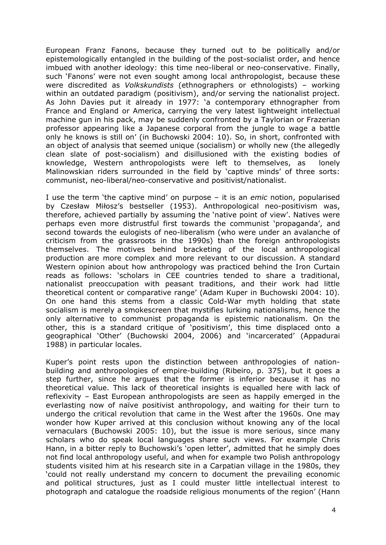European Franz Fanons, because they turned out to be politically and/or epistemologically entangled in the building of the post-socialist order, and hence imbued with another ideology: this time neo-liberal or neo-conservative. Finally, such 'Fanons' were not even sought among local anthropologist, because these were discredited as *Volkskundists* (ethnographers or ethnologists) – working within an outdated paradigm (positivism), and/or serving the nationalist project. As John Davies put it already in 1977: 'a contemporary ethnographer from France and England or America, carrying the very latest lightweight intellectual machine gun in his pack, may be suddenly confronted by a Taylorian or Frazerian professor appearing like a Japanese corporal from the jungle to wage a battle only he knows is still on' (in Buchowski 2004: 10). So, in short, confronted with an object of analysis that seemed unique (socialism) or wholly new (the allegedly clean slate of post-socialism) and disillusioned with the existing bodies of knowledge, Western anthropologists were left to themselves, as lonely Malinowskian riders surrounded in the field by 'captive minds' of three sorts: communist, neo-liberal/neo-conservative and positivist/nationalist.

I use the term 'the captive mind' on purpose – it is an *emic* notion, popularised by Czesław Miłosz's bestseller (1953). Anthropological neo-positivism was, therefore, achieved partially by assuming the 'native point of view'. Natives were perhaps even more distrustful first towards the communist 'propaganda', and second towards the eulogists of neo-liberalism (who were under an avalanche of criticism from the grassroots in the 1990s) than the foreign anthropologists themselves. The motives behind bracketing of the local anthropological production are more complex and more relevant to our discussion. A standard Western opinion about how anthropology was practiced behind the Iron Curtain reads as follows: 'scholars in CEE countries tended to share a traditional, nationalist preoccupation with peasant traditions, and their work had little theoretical content or comparative range' (Adam Kuper in Buchowski 2004: 10). On one hand this stems from a classic Cold-War myth holding that state socialism is merely a smokescreen that mystifies lurking nationalisms, hence the only alternative to communist propaganda is epistemic nationalism. On the other, this is a standard critique of 'positivism', this time displaced onto a geographical 'Other' (Buchowski 2004, 2006) and 'incarcerated' (Appadurai 1988) in particular locales.

Kuper's point rests upon the distinction between anthropologies of nationbuilding and anthropologies of empire-building (Ribeiro, p. 375), but it goes a step further, since he argues that the former is inferior because it has no theoretical value. This lack of theoretical insights is equalled here with lack of reflexivity – East European anthropologists are seen as happily emerged in the everlasting now of naïve positivist anthropology, and waiting for their turn to undergo the critical revolution that came in the West after the 1960s. One may wonder how Kuper arrived at this conclusion without knowing any of the local vernaculars (Buchowski 2005: 10), but the issue is more serious, since many scholars who do speak local languages share such views. For example Chris Hann, in a bitter reply to Buchowski's 'open letter', admitted that he simply does not find local anthropology useful, and when for example two Polish anthropology students visited him at his research site in a Carpatian village in the 1980s, they 'could not really understand my concern to document the prevailing economic and political structures, just as I could muster little intellectual interest to photograph and catalogue the roadside religious monuments of the region' (Hann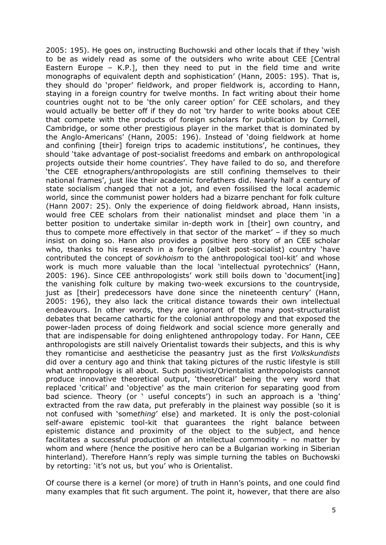2005: 195). He goes on, instructing Buchowski and other locals that if they 'wish to be as widely read as some of the outsiders who write about CEE [Central Eastern Europe – K.P.], then they need to put in the field time and write monographs of equivalent depth and sophistication' (Hann, 2005: 195). That is, they should do 'proper' fieldwork, and proper fieldwork is, according to Hann, staying in a foreign country for twelve months. In fact writing about their home countries ought not to be 'the only career option' for CEE scholars, and they would actually be better off if they do not 'try harder to write books about CEE that compete with the products of foreign scholars for publication by Cornell, Cambridge, or some other prestigious player in the market that is dominated by the Anglo-Americans' (Hann, 2005: 196). Instead of 'doing fieldwork at home and confining [their] foreign trips to academic institutions', he continues, they should 'take advantage of post-socialist freedoms and embark on anthropological projects outside their home countries'. They have failed to do so, and therefore 'the CEE etnographers/anthropologists are still confining themselves to their national frames', just like their academic forefathers did. Nearly half a century of state socialism changed that not a jot, and even fossilised the local academic world, since the communist power holders had a bizarre penchant for folk culture (Hann 2007: 25). Only the experience of doing fieldwork abroad, Hann insists, would free CEE scholars from their nationalist mindset and place them 'in a better position to undertake similar in-depth work in [their] own country, and thus to compete more effectively in that sector of the market' – if they so much insist on doing so. Hann also provides a positive hero story of an CEE scholar who, thanks to his research in a foreign (albeit post-socialist) country 'have contributed the concept of *sovkhoism* to the anthropological tool-kit' and whose work is much more valuable than the local 'intellectual pyrotechnics' (Hann, 2005: 196). Since CEE anthropologists' work still boils down to 'document[ing] the vanishing folk culture by making two-week excursions to the countryside, just as [their] predecessors have done since the nineteenth century' (Hann, 2005: 196), they also lack the critical distance towards their own intellectual endeavours. In other words, they are ignorant of the many post-structuralist debates that became cathartic for the colonial anthropology and that exposed the power-laden process of doing fieldwork and social science more generally and that are indispensable for doing enlightened anthropology today. For Hann, CEE anthropologists are still naively Orientalist towards their subjects, and this is why they romanticise and aestheticise the peasantry just as the first *Volkskundists* did over a century ago and think that taking pictures of the rustic lifestyle is still what anthropology is all about. Such positivist/Orientalist anthropologists cannot produce innovative theoretical output, 'theoretical' being the very word that replaced 'critical' and 'objective' as the main criterion for separating good from bad science. Theory (or ' useful concepts') in such an approach is a 'thing' extracted from the raw data, put preferably in the plainest way possible (so it is not confused with 'some*thing*' else) and marketed. It is only the post-colonial self-aware epistemic tool-kit that guarantees the right balance between epistemic distance and proximity of the object to the subject, and hence facilitates a successful production of an intellectual commodity – no matter by whom and where (hence the positive hero can be a Bulgarian working in Siberian hinterland). Therefore Hann's reply was simple turning the tables on Buchowski by retorting: 'it's not us, but you' who is Orientalist.

Of course there is a kernel (or more) of truth in Hann's points, and one could find many examples that fit such argument. The point it, however, that there are also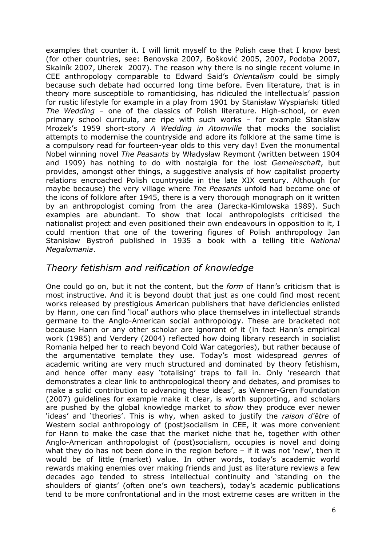examples that counter it. I will limit myself to the Polish case that I know best (for other countries, see: Benovska 2007, Bošković 2005, 2007, Podoba 2007, Skalník 2007, Uherek 2007). The reason why there is no single recent volume in CEE anthropology comparable to Edward Said's *Orientalism* could be simply because such debate had occurred long time before. Even literature, that is in theory more susceptible to romanticising, has ridiculed the intellectuals' passion for rustic lifestyle for example in a play from 1901 by Stanisław Wyspiański titled *The Wedding* – one of the classics of Polish literature. High-school, or even primary school curricula, are ripe with such works – for example Stanisław Mrożek's 1959 short-story *A Wedding in Atomville* that mocks the socialist attempts to modernise the countryside and adore its folklore at the same time is a compulsory read for fourteen-year olds to this very day! Even the monumental Nobel winning novel *The Peasants* by Władysław Reymont (written between 1904 and 1909) has nothing to do with nostalgia for the lost *Gemeinschaft*, but provides, amongst other things, a suggestive analysis of how capitalist property relations encroached Polish countryside in the late XIX century. Although (or maybe because) the very village where *The Peasants* unfold had become one of the icons of folklore after 1945, there is a very thorough monograph on it written by an anthropologist coming from the area (Jarecka-Kimlowska 1989). Such examples are abundant. To show that local anthropologists criticised the nationalist project and even positioned their own endeavours in opposition to it, I could mention that one of the towering figures of Polish anthropology Jan Stanisław Bystroń published in 1935 a book with a telling title *National Megalomania*.

### *Theory fetishism and reification of knowledge*

One could go on, but it not the content, but the *form* of Hann's criticism that is most instructive. And it is beyond doubt that just as one could find most recent works released by prestigious American publishers that have deficiencies enlisted by Hann, one can find 'local' authors who place themselves in intellectual strands germane to the Anglo-American social anthropology. These are bracketed not because Hann or any other scholar are ignorant of it (in fact Hann's empirical work (1985) and Verdery (2004) reflected how doing library research in socialist Romania helped her to reach beyond Cold War categories), but rather because of the argumentative template they use. Today's most widespread *genres* of academic writing are very much structured and dominated by theory fetishism, and hence offer many easy 'totalising' traps to fall in. Only 'research that demonstrates a clear link to anthropological theory and debates, and promises to make a solid contribution to advancing these ideas', as Wenner-Gren Foundation (2007) guidelines for example make it clear, is worth supporting, and scholars are pushed by the global knowledge market to *show* they produce ever newer 'ideas' and 'theories'. This is why, when asked to justify the *raison d'être* of Western social anthropology of (post)socialism in CEE, it was more convenient for Hann to make the case that the market niche that he, together with other Anglo-American anthropologist of (post)socialism, occupies is novel and doing what they do has not been done in the region before – if it was not 'new', then it would be of little (market) value. In other words, today's academic world rewards making enemies over making friends and just as literature reviews a few decades ago tended to stress intellectual continuity and 'standing on the shoulders of giants' (often one's own teachers), today's academic publications tend to be more confrontational and in the most extreme cases are written in the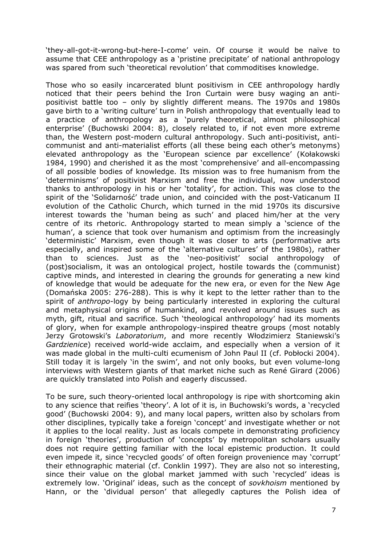'they-all-got-it-wrong-but-here-I-come' vein. Of course it would be naïve to assume that CEE anthropology as a 'pristine precipitate' of national anthropology was spared from such 'theoretical revolution' that commoditises knowledge.

Those who so easily incarcerated blunt positivism in CEE anthropology hardly noticed that their peers behind the Iron Curtain were busy waging an antipositivist battle too – only by slightly different means. The 1970s and 1980s gave birth to a 'writing culture' turn in Polish anthropology that eventually lead to a practice of anthropology as a 'purely theoretical, almost philosophical enterprise' (Buchowski 2004: 8), closely related to, if not even more extreme than, the Western post-modern cultural anthropology. Such anti-positivist, anticommunist and anti-materialist efforts (all these being each other's metonyms) elevated anthropology as the 'European science par excellence' (Kołakowski 1984, 1990) and cherished it as the most 'comprehensive' and all-encompassing of all possible bodies of knowledge. Its mission was to free humanism from the 'determinisms' of positivist Marxism and free the individual, now understood thanks to anthropology in his or her 'totality', for action. This was close to the spirit of the 'Solidarność' trade union, and coincided with the post-Vaticanum II evolution of the Catholic Church, which turned in the mid 1970s its discursive interest towards the 'human being as such' and placed him/her at the very centre of its rhetoric. Anthropology started to mean simply a 'science of the human', a science that took over humanism and optimism from the increasingly 'deterministic' Marxism, even though it was closer to arts (performative arts especially, and inspired some of the 'alternative cultures' of the 1980s), rather than to sciences. Just as the 'neo-positivist' social anthropology of (post)socialism, it was an ontological project, hostile towards the (communist) captive minds, and interested in clearing the grounds for generating a new kind of knowledge that would be adequate for the new era, or even for the New Age (Domańska 2005: 276-288). This is why it kept to the letter rather than to the spirit of *anthropo*-logy by being particularly interested in exploring the cultural and metaphysical origins of humankind, and revolved around issues such as myth, gift, ritual and sacrifice. Such 'theological anthropology' had its moments of glory, when for example anthropology-inspired theatre groups (most notably Jerzy Grotowski's *Laboratorium*, and more recently Włodzimierz Staniewski's *Gardzienice*) received world-wide acclaim, and especially when a version of it was made global in the multi-culti ecumenism of John Paul II (cf. Pobłocki 2004). Still today it is largely 'in the swim', and not only books, but even volume-long interviews with Western giants of that market niche such as René Girard (2006) are quickly translated into Polish and eagerly discussed.

To be sure, such theory-oriented local anthropology is ripe with shortcoming akin to any science that reifies 'theory'. A lot of it is, in Buchowski's words, a 'recycled good' (Buchowski 2004: 9), and many local papers, written also by scholars from other disciplines, typically take a foreign 'concept' and investigate whether or not it applies to the local reality. Just as locals compete in demonstrating proficiency in foreign 'theories', production of 'concepts' by metropolitan scholars usually does not require getting familiar with the local epistemic production. It could even impede it, since 'recycled goods' of often foreign provenience may 'corrupt' their ethnographic material (cf. Conklin 1997). They are also not so interesting, since their value on the global market jammed with such 'recycled' ideas is extremely low. 'Original' ideas, such as the concept of *sovkhoism* mentioned by Hann, or the 'dividual person' that allegedly captures the Polish idea of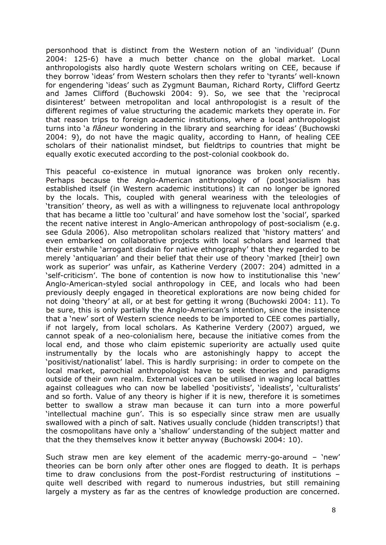personhood that is distinct from the Western notion of an 'individual' (Dunn 2004: 125-6) have a much better chance on the global market. Local anthropologists also hardly quote Western scholars writing on CEE, because if they borrow 'ideas' from Western scholars then they refer to 'tyrants' well-known for engendering 'ideas' such as Zygmunt Bauman, Richard Rorty, Clifford Geertz and James Clifford (Buchowski 2004: 9). So, we see that the 'reciprocal disinterest' between metropolitan and local anthropologist is a result of the different regimes of value structuring the academic markets they operate in. For that reason trips to foreign academic institutions, where a local anthropologist turns into 'a *flâneur* wondering in the library and searching for ideas' (Buchowski 2004: 9), do not have the magic quality, according to Hann, of healing CEE scholars of their nationalist mindset, but fieldtrips to countries that might be equally exotic executed according to the post-colonial cookbook do.

This peaceful co-existence in mutual ignorance was broken only recently. Perhaps because the Anglo-American anthropology of (post)socialism has established itself (in Western academic institutions) it can no longer be ignored by the locals. This, coupled with general weariness with the teleologies of 'transition' theory, as well as with a willingness to rejuvenate local anthropology that has became a little too 'cultural' and have somehow lost the 'social', sparked the recent native interest in Anglo-American anthropology of post-socialism (e.g. see Gdula 2006). Also metropolitan scholars realized that 'history matters' and even embarked on collaborative projects with local scholars and learned that their erstwhile 'arrogant disdain for native ethnography' that they regarded to be merely 'antiquarian' and their belief that their use of theory 'marked [their] own work as superior' was unfair, as Katherine Verdery (2007: 204) admitted in a 'self-criticism'. The bone of contention is now how to institutionalise this 'new' Anglo-American-styled social anthropology in CEE, and locals who had been previously deeply engaged in theoretical explorations are now being chided for not doing 'theory' at all, or at best for getting it wrong (Buchowski 2004: 11). To be sure, this is only partially the Anglo-American's intention, since the insistence that a 'new' sort of Western science needs to be imported to CEE comes partially, if not largely, from local scholars. As Katherine Verdery (2007) argued, we cannot speak of a neo-colonialism here, because the initiative comes from the local end, and those who claim epistemic superiority are actually used quite instrumentally by the locals who are astonishingly happy to accept the 'positivist/nationalist' label. This is hardly surprising: in order to compete on the local market, parochial anthropologist have to seek theories and paradigms outside of their own realm. External voices can be utilised in waging local battles against colleagues who can now be labelled 'positivists', 'idealists', 'culturalists' and so forth. Value of any theory is higher if it is new, therefore it is sometimes better to swallow a straw man because it can turn into a more powerful 'intellectual machine gun'. This is so especially since straw men are usually swallowed with a pinch of salt. Natives usually conclude (hidden transcripts!) that the cosmopolitans have only a 'shallow' understanding of the subject matter and that the they themselves know it better anyway (Buchowski 2004: 10).

Such straw men are key element of the academic merry-go-around – 'new' theories can be born only after other ones are flogged to death. It is perhaps time to draw conclusions from the post-Fordist restructuring of institutions – quite well described with regard to numerous industries, but still remaining largely a mystery as far as the centres of knowledge production are concerned.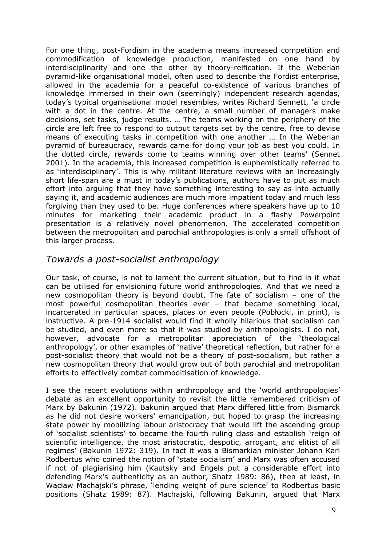For one thing, post-Fordism in the academia means increased competition and commodification of knowledge production, manifested on one hand by interdisciplinarity and one the other by theory-reification. If the Weberian pyramid-like organisational model, often used to describe the Fordist enterprise, allowed in the academia for a peaceful co-existence of various branches of knowledge immersed in their own (seemingly) independent research agendas, today's typical organisational model resembles, writes Richard Sennett, 'a circle with a dot in the centre. At the centre, a small number of managers make decisions, set tasks, judge results. … The teams working on the periphery of the circle are left free to respond to output targets set by the centre, free to devise means of executing tasks in competition with one another … In the Weberian pyramid of bureaucracy, rewards came for doing your job as best you could. In the dotted circle, rewards come to teams winning over other teams' (Sennet 2001). In the academia, this increased competition is euphemistically referred to as 'interdisciplinary'. This is why militant literature reviews with an increasingly short life-span are a must in today's publications, authors have to put as much effort into arguing that they have something interesting to say as into actually saying it, and academic audiences are much more impatient today and much less forgiving than they used to be. Huge conferences where speakers have up to 10 minutes for marketing their academic product in a flashy Powerpoint presentation is a relatively novel phenomenon. The accelerated competition between the metropolitan and parochial anthropologies is only a small offshoot of this larger process.

## *Towards a post-socialist anthropology*

Our task, of course, is not to lament the current situation, but to find in it what can be utilised for envisioning future world anthropologies. And that we need a new cosmopolitan theory is beyond doubt. The fate of socialism – one of the most powerful cosmopolitan theories ever – that became something local, incarcerated in particular spaces, places or even people (Pobłocki, in print), is instructive. A pre-1914 socialist would find it wholly hilarious that socialism can be studied, and even more so that it was studied by anthropologists. I do not, however, advocate for a metropolitan appreciation of the 'theological anthropology', or other examples of 'native' theoretical reflection, but rather for a post-socialist theory that would not be a theory of post-socialism, but rather a new cosmopolitan theory that would grow out of both parochial and metropolitan efforts to effectively combat commoditisation of knowledge.

I see the recent evolutions within anthropology and the 'world anthropologies' debate as an excellent opportunity to revisit the little remembered criticism of Marx by Bakunin (1972). Bakunin argued that Marx differed little from Bismarck as he did not desire workers' emancipation, but hoped to grasp the increasing state power by mobilizing labour aristocracy that would lift the ascending group of 'socialist scientists' to became the fourth ruling class and establish 'reign of scientific intelligence, the most aristocratic, despotic, arrogant, and elitist of all regimes' (Bakunin 1972: 319). In fact it was a Bismarkian minister Johann Karl Rodbertus who coined the notion of 'state socialism' and Marx was often accused if not of plagiarising him (Kautsky and Engels put a considerable effort into defending Marx's authenticity as an author, Shatz 1989: 86), then at least, in Wacław Machajski's phrase, 'lending weight of pure science' to Rodbertus basic positions (Shatz 1989: 87). Machajski, following Bakunin, argued that Marx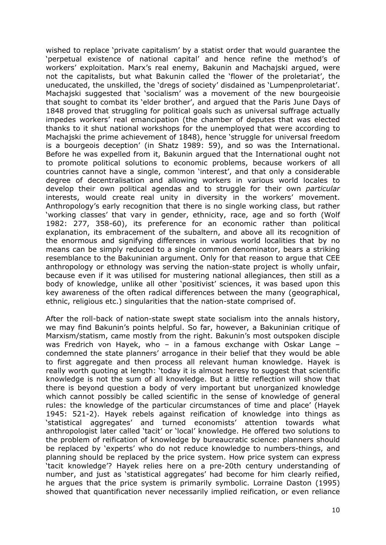wished to replace 'private capitalism' by a statist order that would guarantee the 'perpetual existence of national capital' and hence refine the method's of workers' exploitation. Marx's real enemy, Bakunin and Machajski argued, were not the capitalists, but what Bakunin called the 'flower of the proletariat', the uneducated, the unskilled, the 'dregs of society' disdained as 'Lumpenproletariat'. Machajski suggested that 'socialism' was a movement of the new bourgeoisie that sought to combat its 'elder brother', and argued that the Paris June Days of 1848 proved that struggling for political goals such as universal suffrage actually impedes workers' real emancipation (the chamber of deputes that was elected thanks to it shut national workshops for the unemployed that were according to Machajski the prime achievement of 1848), hence 'struggle for universal freedom is a bourgeois deception' (in Shatz 1989: 59), and so was the International. Before he was expelled from it, Bakunin argued that the International ought not to promote political solutions to economic problems, because workers of all countries cannot have a single, common 'interest', and that only a considerable degree of decentralisation and allowing workers in various world locales to develop their own political agendas and to struggle for their own *particular* interests, would create real unity in diversity in the workers' movement. Anthropology's early recognition that there is no single working class, but rather 'working classes' that vary in gender, ethnicity, race, age and so forth (Wolf 1982: 277, 358-60), its preference for an economic rather than political explanation, its embracement of the subaltern, and above all its recognition of the enormous and signifying differences in various world localities that by no means can be simply reduced to a single common denominator, bears a striking resemblance to the Bakuninian argument. Only for that reason to argue that CEE anthropology or ethnology was serving the nation-state project is wholly unfair, because even if it was utilised for mustering national allegiances, then still as a body of knowledge, unlike all other 'positivist' sciences, it was based upon this key awareness of the often radical differences between the many (geographical, ethnic, religious etc.) singularities that the nation-state comprised of.

After the roll-back of nation-state swept state socialism into the annals history, we may find Bakunin's points helpful. So far, however, a Bakuninian critique of Marxism/statism, came mostly from the right. Bakunin's most outspoken disciple was Fredrich von Hayek, who – in a famous exchange with Oskar Lange – condemned the state planners' arrogance in their belief that they would be able to first aggregate and then process all relevant human knowledge. Hayek is really worth quoting at length: 'today it is almost heresy to suggest that scientific knowledge is not the sum of all knowledge. But a little reflection will show that there is beyond question a body of very important but unorganized knowledge which cannot possibly be called scientific in the sense of knowledge of general rules: the knowledge of the particular circumstances of time and place' (Hayek 1945: 521-2). Hayek rebels against reification of knowledge into things as 'statistical aggregates' and turned economists' attention towards what anthropologist later called 'tacit' or 'local' knowledge. He offered two solutions to the problem of reification of knowledge by bureaucratic science: planners should be replaced by 'experts' who do not reduce knowledge to numbers-things, and planning should be replaced by the price system. How price system can express 'tacit knowledge'? Hayek relies here on a pre-20th century understanding of number, and just as 'statistical aggregates' had become for him clearly reified, he argues that the price system is primarily symbolic. Lorraine Daston (1995) showed that quantification never necessarily implied reification, or even reliance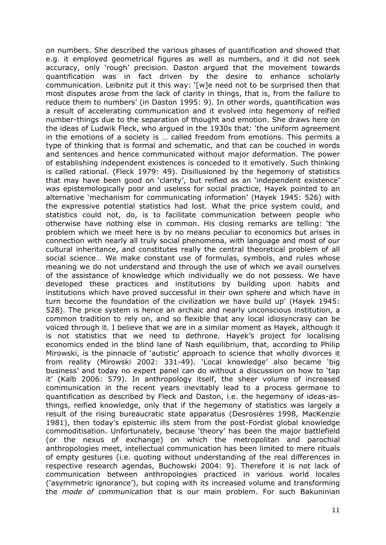on numbers. She described the various phases of quantification and showed that e.g. it employed geometrical figures as well as numbers, and it did not seek accuracy, only 'rough' precision. Daston argued that the movement towards quantification was in fact driven by the desire to enhance scholarly communication. Leibnitz put it this way: '[w]e need not to be surprised then that most disputes arose from the lack of clarity in things, that is, from the failure to reduce them to numbers' (in Daston 1995: 9). In other words, quantification was a result of accelerating communication and it evolved into hegemony of reified number-things due to the separation of thought and emotion. She draws here on the ideas of Ludwik Fleck, who argued in the 1930s that: 'the uniform agreement in the emotions of a society is … called freedom from emotions. This permits a type of thinking that is formal and schematic, and that can be couched in words and sentences and hence communicated without major deformation. The power of establishing independent existences is conceded to it emotively. Such thinking is called rational. (Fleck 1979: 49). Disillusioned by the hegemony of statistics that may have been good on 'clarity', but reified as an 'independent existence' was epistemologically poor and useless for social practice, Hayek pointed to an alternative 'mechanism for communicating information' (Hayek 1945: 526) with the expressive potential statistics had lost. What the price system could, and statistics could not, do, is to facilitate communication between people who otherwise have nothing else in common. His closing remarks are telling: 'the problem which we meet here is by no means peculiar to economics but arises in connection with nearly all truly social phenomena, with language and most of our cultural inheritance, and constitutes really the central theoretical problem of all social science… We make constant use of formulas, symbols, and rules whose meaning we do not understand and through the use of which we avail ourselves of the assistance of knowledge which individually we do not possess. We have developed these practices and institutions by building upon habits and institutions which have proved successful in their own sphere and which have in turn become the foundation of the civilization we have build up' (Hayek 1945: 528). The price system is hence an archaic and nearly unconscious institution, a common tradition to rely on, and so flexible that any local idiosyncrasy can be voiced through it. I believe that we are in a similar moment as Hayek, although it is not statistics that we need to dethrone. Hayek's project for localising economics ended in the blind lane of Nash equilibrium, that, according to Philip Mirowski, is the pinnacle of 'autistic' approach to science that wholly divorces it from reality (Mirowski 2002: 331-49). 'Local knowledge' also became 'big business' and today no expert panel can do without a discussion on how to 'tap it' (Kalb 2006: 579). In anthropology itself, the sheer volume of increased communication in the recent years inevitably lead to a process germane to quantification as described by Fleck and Daston, i.e. the hegemony of ideas-asthings, reified knowledge, only that if the hegemony of statistics was largely a result of the rising bureaucratic state apparatus (Desrosières 1998, MacKenzie 1981), then today's epistemic ills stem from the post-Fordist global knowledge commoditisation. Unfortunately, because 'theory' has been the major battlefield (or the nexus of exchange) on which the metropolitan and parochial anthropologies meet, intellectual communication has been limited to mere rituals of empty gestures (i.e. quoting without understanding of the real differences in respective research agendas, Buchowski 2004: 9). Therefore it is not lack of communication between anthropologies practiced in various world locales ('asymmetric ignorance'), but coping with its increased volume and transforming the *mode of communication* that is our main problem. For such Bakuninian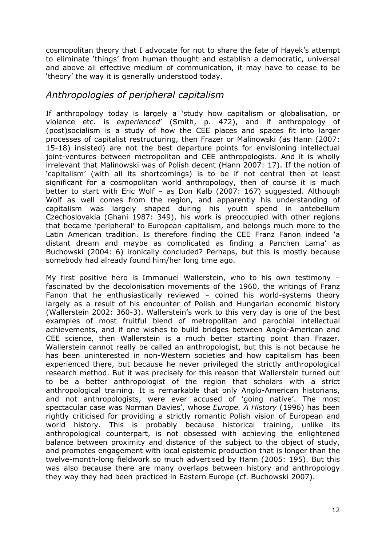cosmopolitan theory that I advocate for not to share the fate of Hayek's attempt to eliminate 'things' from human thought and establish a democratic, universal and above all effective medium of communication, it may have to cease to be 'theory' the way it is generally understood today.

## *Anthropologies of peripheral capitalism*

If anthropology today is largely a 'study how capitalism or globalisation, or violence etc. is *experienced*' (Smith, p. 472), and if anthropology of (post)socialism is a study of how the CEE places and spaces fit into larger processes of capitalist restructuring, then Frazer or Malinowski (as Hann (2007: 15-18) insisted) are not the best departure points for envisioning intellectual joint-ventures between metropolitan and CEE anthropologists. And it is wholly irrelevant that Malinowski was of Polish decent (Hann 2007: 17). If the notion of 'capitalism' (with all its shortcomings) is to be if not central then at least significant for a cosmopolitan world anthropology, then of course it is much better to start with Eric Wolf – as Don Kalb (2007: 167) suggested. Although Wolf as well comes from the region, and apparently his understanding of capitalism was largely shaped during his youth spend in antebellum Czechoslovakia (Ghani 1987: 349), his work is preoccupied with other regions that became 'peripheral' to European capitalism, and belongs much more to the Latin American tradition. Is therefore finding the CEE Franz Fanon indeed 'a distant dream and maybe as complicated as finding a Panchen Lama' as Buchowski (2004: 6) ironically concluded? Perhaps, but this is mostly because somebody had already found him/her long time ago.

My first positive hero is Immanuel Wallerstein, who to his own testimony – fascinated by the decolonisation movements of the 1960, the writings of Franz Fanon that he enthusiastically reviewed – coined his world-systems theory largely as a result of his encounter of Polish and Hungarian economic history (Wallerstein 2002: 360-3). Wallerstein's work to this very day is one of the best examples of most fruitful blend of metropolitan and parochial intellectual achievements, and if one wishes to build bridges between Anglo-American and CEE science, then Wallerstein is a much better starting point than Frazer. Wallerstein cannot really be called an anthropologist, but this is not because he has been uninterested in non-Western societies and how capitalism has been experienced there, but because he never privileged the strictly anthropological research method. But it was precisely for this reason that Wallerstein turned out to be a better anthropologist of the region that scholars with a strict anthropological training. It is remarkable that only Anglo-American historians, and not anthropologists, were ever accused of 'going native'. The most spectacular case was Norman Davies', whose *Europe. A History* (1996) has been rightly criticised for providing a strictly romantic Polish vision of European and world history. This is probably because historical training, unlike its anthropological counterpart, is not obsessed with achieving the enlightened balance between proximity and distance of the subject to the object of study, and promotes engagement with local epistemic production that is longer than the twelve-month-long fieldwork so much advertised by Hann (2005: 195). But this was also because there are many overlaps between history and anthropology they way they had been practiced in Eastern Europe (cf. Buchowski 2007).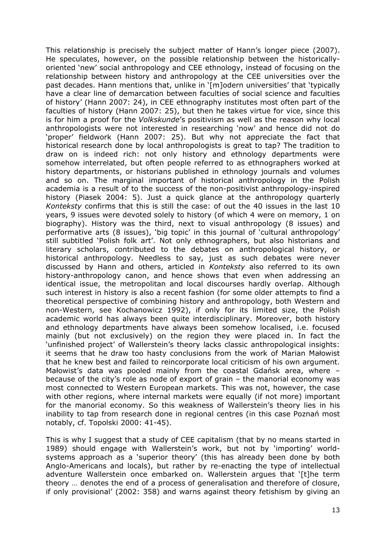This relationship is precisely the subject matter of Hann's longer piece (2007). He speculates, however, on the possible relationship between the historicallyoriented 'new' social anthropology and CEE ethnology, instead of focusing on the relationship between history and anthropology at the CEE universities over the past decades. Hann mentions that, unlike in '[m]odern universities' that 'typically have a clear line of demarcation between faculties of social science and faculties of history' (Hann 2007: 24), in CEE ethnography institutes most often part of the faculties of history (Hann 2007: 25), but then he takes virtue for vice, since this is for him a proof for the *Volkskunde*'s positivism as well as the reason why local anthropologists were not interested in researching 'now' and hence did not do 'proper' fieldwork (Hann 2007: 25). But why not appreciate the fact that historical research done by local anthropologists is great to tap? The tradition to draw on is indeed rich: not only history and ethnology departments were somehow interrelated, but often people referred to as ethnographers worked at history departments, or historians published in ethnology journals and volumes and so on. The marginal important of historical anthropology in the Polish academia is a result of to the success of the non-positivist anthropology-inspired history (Piasek 2004: 5). Just a quick glance at the anthropology quarterly *Konteksty* confirms that this is still the case: of out the 40 issues in the last 10 years, 9 issues were devoted solely to history (of which 4 were on memory, 1 on biography). History was the third, next to visual anthropology (8 issues) and performative arts (8 issues), 'big topic' in this journal of 'cultural anthropology' still subtitled 'Polish folk art'. Not only ethnographers, but also historians and literary scholars, contributed to the debates on anthropological history, or historical anthropology. Needless to say, just as such debates were never discussed by Hann and others, articled in *Konteksty* also referred to its own history-anthropology canon, and hence shows that even when addressing an identical issue, the metropolitan and local discourses hardly overlap. Although such interest in history is also a recent fashion (for some older attempts to find a theoretical perspective of combining history and anthropology, both Western and non-Western, see Kochanowicz 1992), if only for its limited size, the Polish academic world has always been quite interdisciplinary. Moreover, both history and ethnology departments have always been somehow localised, i.e. focused mainly (but not exclusively) on the region they were placed in. In fact the 'unfinished project' of Wallerstein's theory lacks classic anthropological insights: it seems that he draw too hasty conclusions from the work of Marian Małowist that he knew best and failed to reincorporate local criticism of his own argument. Małowist's data was pooled mainly from the coastal Gdańsk area, where – because of the city's role as node of export of grain – the manorial economy was most connected to Western European markets. This was not, however, the case with other regions, where internal markets were equally (if not more) important for the manorial economy. So this weakness of Wallerstein's theory lies in his inability to tap from research done in regional centres (in this case Poznań most notably, cf. Topolski 2000: 41-45).

This is why I suggest that a study of CEE capitalism (that by no means started in 1989) should engage with Wallerstein's work, but not by 'importing' worldsystems approach as a 'superior theory' (this has already been done by both Anglo-Americans and locals), but rather by re-enacting the type of intellectual adventure Wallerstein once embarked on. Wallerstein argues that '[t]he term theory … denotes the end of a process of generalisation and therefore of closure, if only provisional' (2002: 358) and warns against theory fetishism by giving an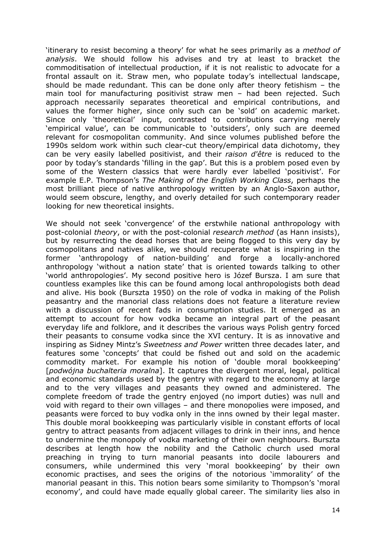'itinerary to resist becoming a theory' for what he sees primarily as a *method of analysis*. We should follow his advises and try at least to bracket the commoditisation of intellectual production, if it is not realistic to advocate for a frontal assault on it. Straw men, who populate today's intellectual landscape, should be made redundant. This can be done only after theory fetishism – the main tool for manufacturing positivist straw men – had been rejected. Such approach necessarily separates theoretical and empirical contributions, and values the former higher, since only such can be 'sold' on academic market. Since only 'theoretical' input, contrasted to contributions carrying merely 'empirical value', can be communicable to 'outsiders', only such are deemed relevant for cosmopolitan community. And since volumes published before the 1990s seldom work within such clear-cut theory/empirical data dichotomy, they can be very easily labelled positivist, and their *raison d'être* is reduced to the poor by today's standards 'filling in the gap'. But this is a problem posed even by some of the Western classics that were hardly ever labelled 'positivist'. For example E.P. Thompson's *The Making of the English Working Class*, perhaps the most brilliant piece of native anthropology written by an Anglo-Saxon author, would seem obscure, lengthy, and overly detailed for such contemporary reader looking for new theoretical insights.

We should not seek 'convergence' of the erstwhile national anthropology with post-colonial *theory*, or with the post-colonial *research method* (as Hann insists), but by resurrecting the dead horses that are being flogged to this very day by cosmopolitans and natives alike, we should recuperate what is inspiring in the former 'anthropology of nation-building' and forge a locally-anchored anthropology 'without a nation state' that is oriented towards talking to other 'world anthropologies'. My second positive hero is Józef Bursza. I am sure that countless examples like this can be found among local anthropologists both dead and alive. His book (Burszta 1950) on the role of vodka in making of the Polish peasantry and the manorial class relations does not feature a literature review with a discussion of recent fads in consumption studies. It emerged as an attempt to account for how vodka became an integral part of the peasant everyday life and folklore, and it describes the various ways Polish gentry forced their peasants to consume vodka since the XVI century. It is as innovative and inspiring as Sidney Mintz's *Sweetness and Power* written three decades later, and features some 'concepts' that could be fished out and sold on the academic commodity market. For example his notion of 'double moral bookkeeping' [*podwójna buchalteria moralna*]. It captures the divergent moral, legal, political and economic standards used by the gentry with regard to the economy at large and to the very villages and peasants they owned and administered. The complete freedom of trade the gentry enjoyed (no import duties) was null and void with regard to their own villages – and there monopolies were imposed, and peasants were forced to buy vodka only in the inns owned by their legal master. This double moral bookkeeping was particularly visible in constant efforts of local gentry to attract peasants from adjacent villages to drink in their inns, and hence to undermine the monopoly of vodka marketing of their own neighbours. Burszta describes at length how the nobility and the Catholic church used moral preaching in trying to turn manorial peasants into docile labourers and consumers, while undermined this very 'moral bookkeeping' by their own economic practises, and sees the origins of the notorious 'immorality' of the manorial peasant in this. This notion bears some similarity to Thompson's 'moral economy', and could have made equally global career. The similarity lies also in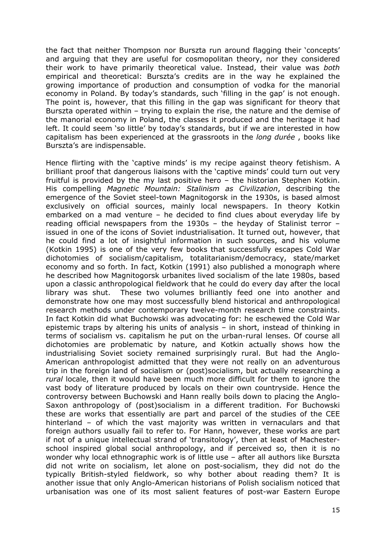the fact that neither Thompson nor Burszta run around flagging their 'concepts' and arguing that they are useful for cosmopolitan theory, nor they considered their work to have primarily theoretical value. Instead, their value was *both* empirical and theoretical: Burszta's credits are in the way he explained the growing importance of production and consumption of vodka for the manorial economy in Poland. By today's standards, such 'filling in the gap' is not enough. The point is, however, that this filling in the gap was significant for theory that Burszta operated within – trying to explain the rise, the nature and the demise of the manorial economy in Poland, the classes it produced and the heritage it had left. It could seem 'so little' by today's standards, but if we are interested in how capitalism has been experienced at the grassroots in the *long durée* , books like Burszta's are indispensable.

Hence flirting with the 'captive minds' is my recipe against theory fetishism. A brilliant proof that dangerous liaisons with the 'captive minds' could turn out very fruitful is provided by the my last positive hero – the historian Stephen Kotkin. His compelling *Magnetic Mountain: Stalinism as Civilization*, describing the emergence of the Soviet steel-town Magnitogorsk in the 1930s, is based almost exclusively on official sources, mainly local newspapers. In theory Kotkin embarked on a mad venture – he decided to find clues about everyday life by reading official newspapers from the 1930s – the heyday of Stalinist terror – issued in one of the icons of Soviet industrialisation. It turned out, however, that he could find a lot of insightful information in such sources, and his volume (Kotkin 1995) is one of the very few books that successfully escapes Cold War dichotomies of socialism/capitalism, totalitarianism/democracy, state/market economy and so forth. In fact, Kotkin (1991) also published a monograph where he described how Magnitogorsk urbanites lived socialism of the late 1980s, based upon a classic anthropological fieldwork that he could do every day after the local library was shut. These two volumes brilliantly feed one into another and demonstrate how one may most successfully blend historical and anthropological research methods under contemporary twelve-month research time constraints. In fact Kotkin did what Buchowski was advocating for: he eschewed the Cold War epistemic traps by altering his units of analysis – in short, instead of thinking in terms of socialism vs. capitalism he put on the urban-rural lenses. Of course all dichotomies are problematic by nature, and Kotkin actually shows how the industrialising Soviet society remained surprisingly rural. But had the Anglo-American anthropologist admitted that they were not really on an adventurous trip in the foreign land of socialism or (post)socialism, but actually researching a *rural* locale, then it would have been much more difficult for them to ignore the vast body of literature produced by locals on their own countryside. Hence the controversy between Buchowski and Hann really boils down to placing the Anglo-Saxon anthropology of (post)socialism in a different tradition. For Buchowski these are works that essentially are part and parcel of the studies of the CEE hinterland – of which the vast majority was written in vernaculars and that foreign authors usually fail to refer to. For Hann, however, these works are part if not of a unique intellectual strand of 'transitology', then at least of Machesterschool inspired global social anthropology, and if perceived so, then it is no wonder why local ethnographic work is of little use – after all authors like Burszta did not write on socialism, let alone on post-socialism, they did not do the typically British-styled fieldwork, so why bother about reading them? It is another issue that only Anglo-American historians of Polish socialism noticed that urbanisation was one of its most salient features of post-war Eastern Europe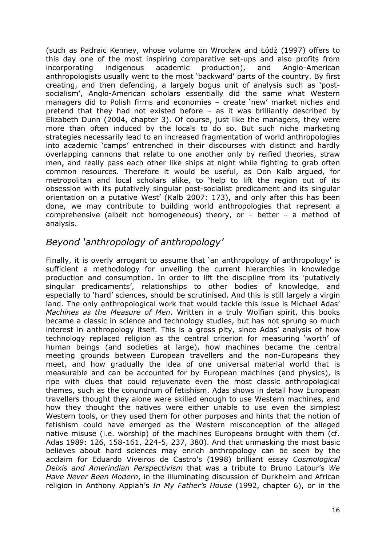(such as Padraic Kenney, whose volume on Wrocław and Łódź (1997) offers to this day one of the most inspiring comparative set-ups and also profits from incorporating indigenous academic production), and Anglo-American anthropologists usually went to the most 'backward' parts of the country. By first creating, and then defending, a largely bogus unit of analysis such as 'postsocialism', Anglo-American scholars essentially did the same what Western managers did to Polish firms and economies – create 'new' market niches and pretend that they had not existed before – as it was brilliantly described by Elizabeth Dunn (2004, chapter 3). Of course, just like the managers, they were more than often induced by the locals to do so. But such niche marketing strategies necessarily lead to an increased fragmentation of world anthropologies into academic 'camps' entrenched in their discourses with distinct and hardly overlapping cannons that relate to one another only by reified theories, straw men, and really pass each other like ships at night while fighting to grab often common resources. Therefore it would be useful, as Don Kalb argued, for metropolitan and local scholars alike, to 'help to lift the region out of its obsession with its putatively singular post-socialist predicament and its singular orientation on a putative West' (Kalb 2007: 173), and only after this has been done, we may contribute to building world anthropologies that represent a comprehensive (albeit not homogeneous) theory, or – better – a method of analysis.

## *Beyond 'anthropology of anthropology'*

Finally, it is overly arrogant to assume that 'an anthropology of anthropology' is sufficient a methodology for unveiling the current hierarchies in knowledge production and consumption. In order to lift the discipline from its 'putatively singular predicaments', relationships to other bodies of knowledge, and especially to 'hard' sciences, should be scrutinised. And this is still largely a virgin land. The only anthropological work that would tackle this issue is Michael Adas' *Machines as the Measure of Men*. Written in a truly Wolfian spirit, this books became a classic in science and technology studies, but has not sprung so much interest in anthropology itself. This is a gross pity, since Adas' analysis of how technology replaced religion as the central criterion for measuring 'worth' of human beings (and societies at large), how machines became the central meeting grounds between European travellers and the non-Europeans they meet, and how gradually the idea of one universal material world that is measurable and can be accounted for by European machines (and physics), is ripe with clues that could rejuvenate even the most classic anthropological themes, such as the conundrum of fetishism. Adas shows in detail how European travellers thought they alone were skilled enough to use Western machines, and how they thought the natives were either unable to use even the simplest Western tools, or they used them for other purposes and hints that the notion of fetishism could have emerged as the Western misconception of the alleged native misuse (i.e. worship) of the machines Europeans brought with them (cf. Adas 1989: 126, 158-161, 224-5, 237, 380). And that unmasking the most basic believes about hard sciences may enrich anthropology can be seen by the acclaim for Eduardo Viveiros de Castro's (1998) brilliant essay *Cosmological Deixis and Amerindian Perspectivism* that was a tribute to Bruno Latour's *We Have Never Been Modern*, in the illuminating discussion of Durkheim and African religion in Anthony Appiah's *In My Father's House* (1992, chapter 6), or in the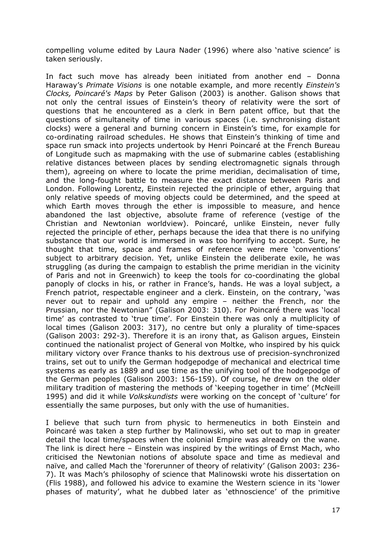compelling volume edited by Laura Nader (1996) where also 'native science' is taken seriously.

In fact such move has already been initiated from another end – Donna Haraway's *Primate Visions* is one notable example, and more recently *Einstein's Clocks, Poincaré's Maps* by Peter Galison (2003) is another. Galison shows that not only the central issues of Einstein's theory of relativity were the sort of questions that he encountered as a clerk in Bern patent office, but that the questions of simultaneity of time in various spaces (i.e. synchronising distant clocks) were a general and burning concern in Einstein's time, for example for co-ordinating railroad schedules. He shows that Einstein's thinking of time and space run smack into projects undertook by Henri Poincaré at the French Bureau of Longitude such as mapmaking with the use of submarine cables (establishing relative distances between places by sending electromagnetic signals through them), agreeing on where to locate the prime meridian, decimalisation of time, and the long-fought battle to measure the exact distance between Paris and London. Following Lorentz, Einstein rejected the principle of ether, arguing that only relative speeds of moving objects could be determined, and the speed at which Earth moves through the ether is impossible to measure, and hence abandoned the last objective, absolute frame of reference (vestige of the Christian and Newtonian worldview). Poincaré, unlike Einstein, never fully rejected the principle of ether, perhaps because the idea that there is no unifying substance that our world is immersed in was too horrifying to accept. Sure, he thought that time, space and frames of reference were mere 'conventions' subject to arbitrary decision. Yet, unlike Einstein the deliberate exile, he was struggling (as during the campaign to establish the prime meridian in the vicinity of Paris and not in Greenwich) to keep the tools for co-coordinating the global panoply of clocks in his, or rather in France's, hands. He was a loyal subject, a French patriot, respectable engineer and a clerk. Einstein, on the contrary, 'was never out to repair and uphold any empire – neither the French, nor the Prussian, nor the Newtonian" (Galison 2003: 310). For Poincaré there was 'local time' as contrasted to 'true time'. For Einstein there was only a multiplicity of local times (Galison 2003: 317), no centre but only a plurality of time-spaces (Galison 2003: 292-3). Therefore it is an irony that, as Galison argues, Einstein continued the nationalist project of General von Moltke, who inspired by his quick military victory over France thanks to his dextrous use of precision-synchronized trains, set out to unify the German hodgepodge of mechanical and electrical time systems as early as 1889 and use time as the unifying tool of the hodgepodge of the German peoples (Galison 2003: 156-159). Of course, he drew on the older military tradition of mastering the methods of 'keeping together in time' (McNeill 1995) and did it while *Volkskundists* were working on the concept of 'culture' for essentially the same purposes, but only with the use of humanities.

I believe that such turn from physic to hermeneutics in both Einstein and Poincaré was taken a step further by Malinowski, who set out to map in greater detail the local time/spaces when the colonial Empire was already on the wane. The link is direct here – Einstein was inspired by the writings of Ernst Mach, who criticised the Newtonian notions of absolute space and time as medieval and naïve, and called Mach the 'forerunner of theory of relativity' (Galison 2003: 236- 7). It was Mach's philosophy of science that Malinowski wrote his dissertation on (Flis 1988), and followed his advice to examine the Western science in its 'lower phases of maturity', what he dubbed later as 'ethnoscience' of the primitive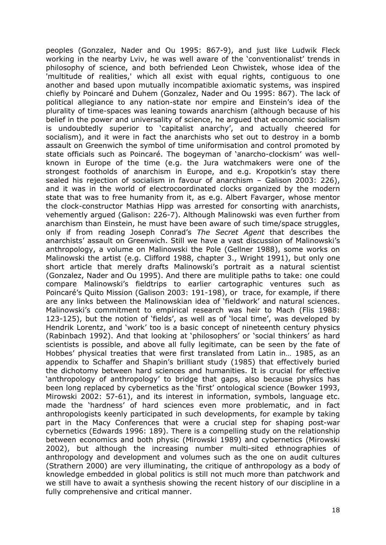peoples (Gonzalez, Nader and Ou 1995: 867-9), and just like Ludwik Fleck working in the nearby Lviv, he was well aware of the 'conventionalist' trends in philosophy of science, and both befriended Leon Chwistek, whose idea of the 'multitude of realities,' which all exist with equal rights, contiguous to one another and based upon mutually incompatible axiomatic systems, was inspired chiefly by Poincaré and Duhem (Gonzalez, Nader and Ou 1995: 867). The lack of political allegiance to any nation-state nor empire and Einstein's idea of the plurality of time-spaces was leaning towards anarchism (although because of his belief in the power and universality of science, he argued that economic socialism is undoubtedly superior to 'capitalist anarchy', and actually cheered for socialism), and it were in fact the anarchists who set out to destroy in a bomb assault on Greenwich the symbol of time uniformisation and control promoted by state officials such as Poincaré. The bogeyman of 'anarcho-clockism' was wellknown in Europe of the time (e.g. the Jura watchmakers were one of the strongest footholds of anarchism in Europe, and e.g. Kropotkin's stay there sealed his rejection of socialism in favour of anarchism – Galison 2003: 226), and it was in the world of electrocoordinated clocks organized by the modern state that was to free humanity from it, as e.g. Albert Favarger, whose mentor the clock-constructor Mathias Hipp was arrested for consorting with anarchists, vehemently argued (Galison: 226-7). Although Malinowski was even further from anarchism than Einstein, he must have been aware of such time/space struggles, only if from reading Joseph Conrad's *The Secret Agent* that describes the anarchists' assault on Greenwich. Still we have a vast discussion of Malinowski's anthropology, a volume on Malinowski the Pole (Gellner 1988), some works on Malinowski the artist (e.g. Clifford 1988, chapter 3., Wright 1991), but only one short article that merely drafts Malinowski's portrait as a natural scientist (Gonzalez, Nader and Ou 1995). And there are mulitiple paths to take: one could compare Malinowski's fieldtrips to earlier cartographic ventures such as Poincaré's Quito Mission (Galison 2003: 191-198), or trace, for example, if there are any links between the Malinowskian idea of 'fieldwork' and natural sciences. Malinowski's commitment to empirical research was heir to Mach (Flis 1988: 123-125), but the notion of 'fields', as well as of 'local time', was developed by Hendrik Lorentz, and 'work' too is a basic concept of nineteenth century physics (Rabinbach 1992). And that looking at 'philosophers' or 'social thinkers' as hard scientists is possible, and above all fully legitimate, can be seen by the fate of Hobbes' physical treaties that were first translated from Latin in… 1985, as an appendix to Schaffer and Shapin's brilliant study (1985) that effectively buried the dichotomy between hard sciences and humanities. It is crucial for effective 'anthropology of anthropology' to bridge that gaps, also because physics has been long replaced by cybernetics as the 'first' ontological science (Bowker 1993, Mirowski 2002: 57-61), and its interest in information, symbols, language etc. made the 'hardness' of hard sciences even more problematic, and in fact anthropologists keenly participated in such developments, for example by taking part in the Macy Conferences that were a crucial step for shaping post-war cybernetics (Edwards 1996: 189). There is a compelling study on the relationship between economics and both physic (Mirowski 1989) and cybernetics (Mirowski 2002), but although the increasing number multi-sited ethnographies of anthropology and development and volumes such as the one on audit cultures (Strathern 2000) are very illuminating, the critique of anthropology as a body of knowledge embedded in global politics is still not much more than patchwork and we still have to await a synthesis showing the recent history of our discipline in a fully comprehensive and critical manner.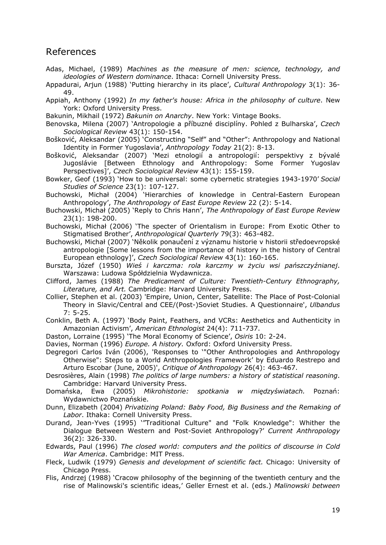#### References

- Adas, Michael, (1989) *Machines as the measure of men: science, technology, and ideologies of Western dominance*. Ithaca: Cornell University Press.
- Appadurai, Arjun (1988) 'Putting hierarchy in its place', *Cultural Anthropology* 3(1): 36- 49.
- Appiah, Anthony (1992) *In my father's house: Africa in the philosophy of culture*. New York: Oxford University Press.
- Bakunin, Mikhail (1972) *Bakunin on Anarchy*. New York: Vintage Books.
- Benovska, Milena (2007) 'Antropologie a příbuzné disciplíny. Pohled z Bulharska', *Czech Sociological Review* 43(1): 150-154.
- Bošković, Aleksandar (2005) 'Constructing "Self" and "Other": Anthropology and National Identity in Former Yugoslavia', *Anthropology Today* 21(2): 8-13.
- Bošković, Aleksandar (2007) 'Mezi etnologií a antropologií: perspektivy z bývalé Jugoslávie [Between Ethnology and Anthropology: Some Former Yugoslav Perspectives]', *Czech Sociological Review* 43(1): 155-159.
- Bowker, Geof (1993) 'How to be universal: some cybernetic strategies 1943-1970' *Social Studies of Science* 23(1): 107-127.

Buchowski, Michał (2004) 'Hierarchies of knowledge in Central-Eastern European Anthropology', *The Anthropology of East Europe Review* 22 (2): 5-14.

- Buchowski, Michał (2005) 'Reply to Chris Hann', *The Anthropology of East Europe Review* 23(1): 198-200.
- Buchowski, Michał (2006) 'The specter of Orientalism in Europe: From Exotic Other to Stigmatised Brother', *Anthropological Quarterly* 79(3): 463-482.
- Buchowski, Michał (2007) 'Několik ponaučení z významu historie v historii středoevropské antropologie [Some lessons from the importance of history in the history of Central European ethnology]', *Czech Sociological Review* 43(1): 160-165.
- Burszta, Józef (1950) *Wieś i karczma: rola karczmy w życiu wsi pańszczyźnianej*. Warszawa: Ludowa Spółdzielnia Wydawnicza.
- Clifford, James (1988) *The Predicament of Culture: Twentieth-Century Ethnography, Literature, and Art.* Cambridge: Harvard University Press.
- Collier, Stephen et al. (2003) 'Empire, Union, Center, Satellite: The Place of Post-Colonial Theory in Slavic/Central and CEE/(Post-)Soviet Studies. A Questionnaire', *Ulbandus* 7: 5-25.
- Conklin, Beth A. (1997) 'Body Paint, Feathers, and VCRs: Aesthetics and Authenticity in Amazonian Activism', *American Ethnologist* 24(4): 711-737.
- Daston, Lorraine (1995) 'The Moral Economy of Science', *Osiris* 10: 2-24.
- Davies, Norman (1996) *Europe. A history.* Oxford: Oxford University Press.
- Degregori Carlos Iván (2006), 'Responses to '"Other Anthropologies and Anthropology Otherwise": Steps to a World Anthropologies Framework' by Eduardo Restrepo and Arturo Escobar (June, 2005)', *Critique of Anthropology* 26(4): 463-467.
- Desrosières, Alain (1998) *The politics of large numbers: a history of statistical reasoning*. Cambridge: Harvard University Press.
- Domańska, Ewa (2005) *Mikrohistorie: spotkania w międzyświatach.* Poznań: Wydawnictwo Poznańskie.
- Dunn, Elizabeth (2004) *Privatizing Poland: Baby Food, Big Business and the Remaking of Labor*. Ithaka: Cornell University Press.
- Durand, Jean-Yves (1995) '"Traditional Culture" and "Folk Knowledge": Whither the Dialogue Between Western and Post-Soviet Anthropology?' *Current Anthropology* 36(2): 326-330.
- Edwards, Paul (1996) *The closed world: computers and the politics of discourse in Cold War America*. Cambridge: MIT Press.
- Fleck, Ludwik (1979) *Genesis and development of scientific fact.* Chicago: University of Chicago Press.
- Flis, Andrzej (1988) 'Cracow philosophy of the beginning of the twentieth century and the rise of Malinowski's scientific ideas,' Geller Ernest et al. (eds.) *Malinowski between*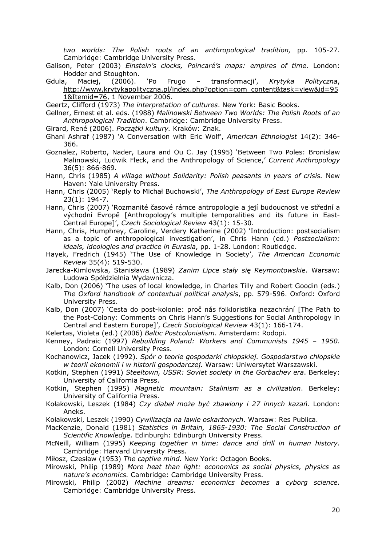*two worlds: The Polish roots of an anthropological tradition,* pp. 105-27. Cambridge: Cambridge University Press.

- Galison, Peter (2003) *Einstein's clocks, Poincaré's maps: empires of time*. London: Hodder and Stoughton.
- Gdula, Maciej, (2006). 'Po Frugo transformacji', *Krytyka Polityczna*, http://www.krytykapolityczna.pl/index.php?option=com\_content&task=view&id=95 1&Itemid=76, 1 November 2006.

Geertz, Clifford (1973) *The interpretation of cultures*. New York: Basic Books.

- Gellner, Ernest et al. eds. (1988) *Malinowski Between Two Worlds: The Polish Roots of an Anthropological Tradition*. Cambridge: Cambridge University Press.
- Girard, René (2006). *Początki kultury.* Kraków: Znak.
- Ghani Ashraf (1987) 'A Conversation with Eric Wolf', *American Ethnologist* 14(2): 346- 366.
- Goznalez, Roberto, Nader, Laura and Ou C. Jay (1995) 'Between Two Poles: Bronislaw Malinowski, Ludwik Fleck, and the Anthropology of Science,' *Current Anthropology* 36(5): 866-869.
- Hann, Chris (1985) *A village without Solidarity: Polish peasants in years of crisis.* New Haven: Yale University Press.
- Hann, Chris (2005) 'Reply to Michał Buchowski', *The Anthropology of East Europe Review* 23(1): 194-7.
- Hann, Chris (2007) 'Rozmanité časové rámce antropologie a její budoucnost ve střední a východní Evropě [Anthropology's multiple temporalities and its future in East-Central Europe]', *Czech Sociological Review* 43(1): 15-30.
- Hann, Chris, Humphrey, Caroline, Verdery Katherine (2002) 'Introduction: postsocialism as a topic of anthropological investigation', in Chris Hann (ed.) *Postsocialism: ideals, ideologies and practice in Eurasia*, pp. 1-28. London: Routledge.
- Hayek, Fredrich (1945) 'The Use of Knowledge in Society', *The American Economic Review* 35(4): 519-530.
- Jarecka-Kimlowska, Stanisława (1989) *Zanim Lipce stały się Reymontowskie*. Warsaw: Ludowa Spółdzielnia Wydawnicza.
- Kalb, Don (2006) 'The uses of local knowledge, in Charles Tilly and Robert Goodin (eds.) *The Oxford handbook of contextual political analysis*, pp. 579-596. Oxford: Oxford University Press.
- Kalb, Don (2007) 'Cesta do post-kolonie: proč nás folkloristika nezachrání [The Path to the Post-Colony: Comments on Chris Hann's Suggestions for Social Anthropology in Central and Eastern Europe]', *Czech Sociological Review* 43(1): 166-174.
- Kelertas, Violeta (ed.) (2006) *Baltic Postcolonialism*. Amsterdam: Rodopi.
- Kenney, Padraic (1997) *Rebuilding Poland: Workers and Communists 1945 1950*. London: Cornell University Press.
- Kochanowicz, Jacek (1992). *Spór o teorie gospodarki chłopskiej. Gospodarstwo chłopskie w teorii ekonomii i w historii gospodarczej.* Warsaw: Uniwersytet Warszawski.
- Kotkin, Stephen (1991) *Steeltown, USSR: Soviet society in the Gorbachev era*. Berkeley: University of California Press.
- Kotkin, Stephen (1995) *Magnetic mountain: Stalinism as a civilization*. Berkeley: University of California Press.
- Kołakowski, Leszek (1984) *Czy diabeł może być zbawiony i 27 innych kazań.* London: Aneks.
- Kołakowski, Leszek (1990) *Cywilizacja na ławie oskarżonych*. Warsaw: Res Publica.
- MacKenzie, Donald (1981) *Statistics in Britain, 1865-1930: The Social Construction of Scientific Knowledge.* Edinburgh: Edinburgh University Press.
- McNeill, William (1995) *Keeping together in time: dance and drill in human history*. Cambridge: Harvard University Press.
- Miłosz, Czesław (1953) *The captive mind.* New York: Octagon Books.
- Mirowski, Philip (1989) *More heat than light: economics as social physics, physics as nature's economics.* Cambridge: Cambridge University Press.
- Mirowski, Philip (2002) *Machine dreams: economics becomes a cyborg science*. Cambridge: Cambridge University Press.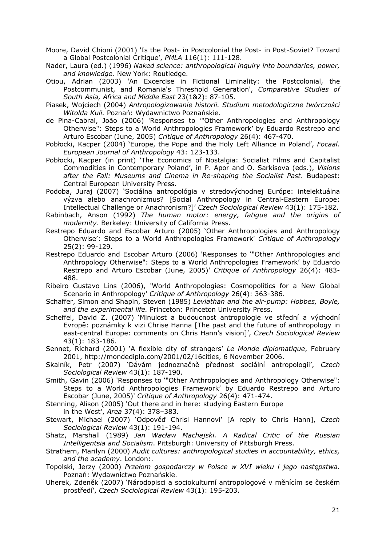Moore, David Chioni (2001) 'Is the Post- in Postcolonial the Post- in Post-Soviet? Toward a Global Postcolonial Critique', *PMLA* 116(1): 111-128.

- Nader, Laura (ed.) (1996) *Naked science: anthropological inquiry into boundaries, power, and knowledge.* New York: Routledge.
- Otiou, Adrian (2003) 'An Excercise in Fictional Liminality: the Postcolonial, the Postcommunist, and Romania's Threshold Generation', *Comparative Studies of South Asia, Africa and Middle East* 23(1&2): 87-105.
- Piasek, Wojciech (2004) *Antropologizowanie historii. Studium metodologiczne twórczości Witolda Kuli.* Poznań: Wydawnictwo Poznańskie.
- de Pina-Cabral, João (2006) 'Responses to '"Other Anthropologies and Anthropology Otherwise": Steps to a World Anthropologies Framework' by Eduardo Restrepo and Arturo Escobar (June, 2005) *Critique of Anthropology* 26(4): 467-470.
- Pobłocki, Kacper (2004) 'Europe, the Pope and the Holy Left Alliance in Poland', *Focaal. European Journal of Anthropology* 43: 123-133.
- Pobłocki, Kacper (in print) 'The Economics of Nostalgia: Socialist Films and Capitalist Commodities in Contemporary Poland', in P. Apor and O. Sarkisova (eds.), *Visions after the Fall: Museums and Cinema in Re-shaping the Socialist Past*. Budapest: Central European University Press.
- Podoba, Juraj (2007) 'Sociálna antropológia v stredovýchodnej Európe: intelektuálna výzva alebo anachronizmus? [Social Anthropology in Central-Eastern Europe: Intellectual Challenge or Anachronism?]' *Czech Sociological Review* 43(1): 175-182.
- Rabinbach, Anson (1992) *The human motor: energy, fatigue and the origins of modernity*. Berkeley: University of California Press.
- Restrepo Eduardo and Escobar Arturo (2005) 'Other Anthropologies and Anthropology Otherwise': Steps to a World Anthropologies Framework' *Critique of Anthropology* 25(2): 99-129.
- Restrepo Eduardo and Escobar Arturo (2006) 'Responses to '"Other Anthropologies and Anthropology Otherwise": Steps to a World Anthropologies Framework' by Eduardo Restrepo and Arturo Escobar (June, 2005)' *Critique of Anthropology* 26(4): 483- 488.
- Ribeiro Gustavo Lins (2006), 'World Anthropologies: Cosmopolitics for a New Global Scenario in Anthropology' *Critique of Anthropology* 26(4): 363-386.
- Schaffer, Simon and Shapin, Steven (1985) *Leviathan and the air-pump: Hobbes, Boyle, and the experimental life.* Princeton: Princeton University Press.
- Scheffel, David Z. (2007) 'Minulost a budoucnost antropologie ve střední a východní Evropě: poznámky k vizi Chrise Hanna [The past and the future of anthropology in east-central Europe: comments on Chris Hann's vision]', *Czech Sociological Review* 43(1): 183-186.
- Sennet, Richard (2001) 'A flexible city of strangers' *Le Monde diplomatique*, February 2001, http://mondediplo.com/2001/02/16cities, 6 November 2006.
- Skalník, Petr (2007) 'Dávám jednoznačně přednost sociální antropologii', *Czech Sociological Review* 43(1): 187-190.
- Smith, Gavin (2006) 'Responses to '"Other Anthropologies and Anthropology Otherwise": Steps to a World Anthropologies Framework' by Eduardo Restrepo and Arturo Escobar (June, 2005)' *Critique of Anthropology* 26(4): 471-474.
- Stenning, Alison (2005) 'Out there and in here: studying Eastern Europe in the West', *Area* 37(4): 378–383.
- Stewart, Michael (2007) 'Odpověď Chrisi Hannovi' [A reply to Chris Hann], *Czech Sociological Review* 43(1): 191-194.
- Shatz, Marshall (1989) *Jan Wacław Machajski. A Radical Critic of the Russian Intelligentsia and Socialism*. Pittsburgh: University of Pittsburgh Press.
- Strathern, Marilyn (2000) *Audit cultures: anthropological studies in accountability, ethics, and the academy*. London:.
- Topolski, Jerzy (2000) *Przełom gospodarczy w Polsce w XVI wieku i jego następstwa*. Poznań: Wydawnictwo Poznańskie.
- Uherek, Zdeněk (2007) 'Národopisci a sociokulturní antropologové v měnícím se českém prostředí', *Czech Sociological Review* 43(1): 195-203.